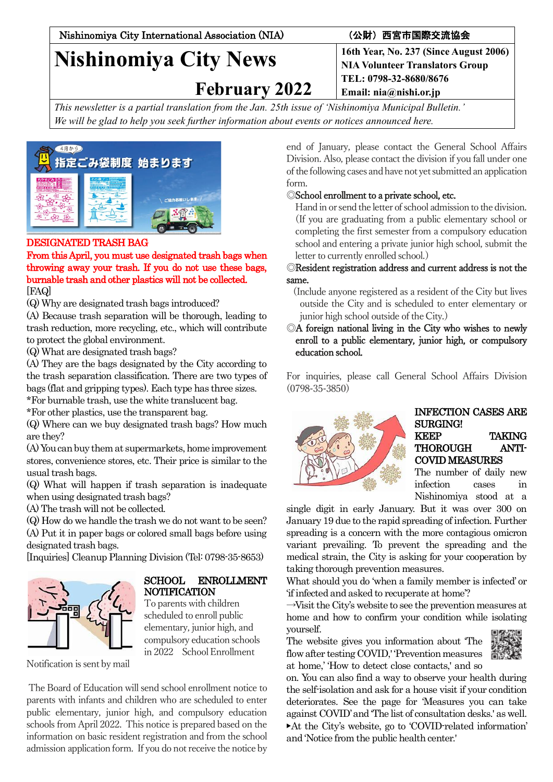Nishinomiya City International Association (NIA) (公財)西宮市国際交流協会

# **Nishinomiya City News**

 **February 2022**

**16th Year, No. 237 (Since August 2006) NIA Volunteer Translators Group TEL: 0798-32-8680/8676 Email: nia@nishi.or.jp**

*This newsletter is a partial translation from the Jan. 25th issue of 'Nishinomiya Municipal Bulletin.' We will be glad to help you seek further information about events or notices announced here.*



# DESIGNATED TRASH BAG

From this April, you must use designated trash bags when throwing away your trash. If you do not use these bags, burnable trash and other plastics will not be collected. [FAQ]

(Q) Why are designated trash bags introduced?

(A) Because trash separation will be thorough, leading to trash reduction, more recycling, etc., which will contribute to protect the global environment.

(Q) What are designated trash bags?

(A) They are the bags designated by the City according to the trash separation classification. There are two types of bags (flat and gripping types). Each type has three sizes.

\*For burnable trash, use the white translucent bag.

\*For other plastics, use the transparent bag.

(Q) Where can we buy designated trash bags? How much are they?

(A) You can buy them at supermarkets, home improvement stores, convenience stores, etc. Their price is similar to the usual trash bags.

(Q) What will happen if trash separation is inadequate when using designated trash bags?

(A) The trash will not be collected.

(Q) How do we handle the trash we do not want to be seen? (A) Put it in paper bags or colored small bags before using designated trash bags.

[Inquiries] Cleanup Planning Division (Tel: 0798-35-8653)



#### SCHOOL ENROLLMENT NOTIFICATION

To parents with children scheduled to enroll public elementary, junior high, and compulsory education schools in 2022 SchoolEnrollment

Notification is sent by mail

The Board of Education will send school enrollment notice to parents with infants and children who are scheduled to enter public elementary, junior high, and compulsory education schools from April 2022. This notice is prepared based on the information on basic resident registration and from the school admission application form. If you do not receive the notice by

end of January, please contact the General School Affairs Division. Also, please contact the division if you fall under one of the following cases and have not yet submitted an application form.

# ◎School enrollment to a private school, etc.

Hand in or send the letter of school admission to the division. (If you are graduating from a public elementary school or completing the first semester from a compulsory education school and entering a private junior high school, submit the letter to currently enrolled school.)

#### ◎Resident registration address and current address is not the same.

(Include anyone registered as a resident of the City but lives outside the City and is scheduled to enter elementary or junior high school outside of the City.)

#### ◎A foreign national living in the City who wishes to newly enroll to a public elementary, junior high, or compulsory education school.

For inquiries, please call General School Affairs Division (0798-35-3850)



#### INFECTION CASES ARE SURGING! KEEP TAKING THOROUGH ANTI-COVID MEASURES

The number of daily new infection cases in Nishinomiya stood at a

single digit in early January. But it was over 300 on January 19 due to the rapid spreading of infection. Further spreading is a concern with the more contagious omicron variant prevailing. To prevent the spreading and the medical strain, the City is asking for your cooperation by taking thorough prevention measures.

What should you do 'when a family member is infected' or 'if infected and asked to recuperate at home'?

 $\rightarrow$ Visit the City's website to see the prevention measures at home and how to confirm your condition while isolating yourself.

The website gives you information about 'The flow after testing COVID,' 'Prevention measures at home,' 'How to detect close contacts,' and so



on. You can also find a way to observe your health during the self-isolation and ask for a house visit if your condition deteriorates. See the page for 'Measures you can take against COVID'and 'The list of consultation desks.' as well. ▶At the City's website, go to 'COVID-related information' and 'Notice from the public health center.'